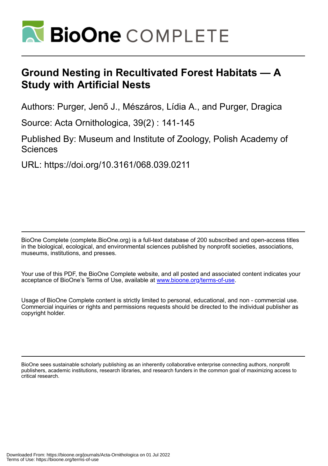

# **Ground Nesting in Recultivated Forest Habitats — A Study with Artificial Nests**

Authors: Purger, Jenő J., Mészáros, Lídia A., and Purger, Dragica

Source: Acta Ornithologica, 39(2) : 141-145

Published By: Museum and Institute of Zoology, Polish Academy of **Sciences** 

URL: https://doi.org/10.3161/068.039.0211

BioOne Complete (complete.BioOne.org) is a full-text database of 200 subscribed and open-access titles in the biological, ecological, and environmental sciences published by nonprofit societies, associations, museums, institutions, and presses.

Your use of this PDF, the BioOne Complete website, and all posted and associated content indicates your acceptance of BioOne's Terms of Use, available at www.bioone.org/terms-of-use.

Usage of BioOne Complete content is strictly limited to personal, educational, and non - commercial use. Commercial inquiries or rights and permissions requests should be directed to the individual publisher as copyright holder.

BioOne sees sustainable scholarly publishing as an inherently collaborative enterprise connecting authors, nonprofit publishers, academic institutions, research libraries, and research funders in the common goal of maximizing access to critical research.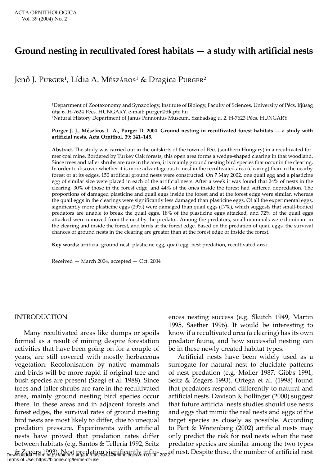## **Ground nesting in recultivated forest habitats — a study with artificial nests**

### Jenő J. Purger<sup>1</sup>, Lídia A. Mészáros<sup>1</sup> & Dragica Purger<sup>2</sup>

<sup>1</sup>Department of Zootaxonomy and Synzoology, Institute of Biology, Faculty of Sciences, University of Pécs, Ifjúság útja 6. H-7624 Pécs, HUNGARY, e-mail: purger@ttk.pte.hu ²Natural History Department of Janus Pannonius Museum, Szabadság u. 2. H-7623 Pécs, HUNGARY

#### **Purger J. J., Mészáros L. A., Purger D. 2004. Ground nesting in recultivated forest habitats — a study with artificial nests. Acta Ornithol. 39: 141–145.**

**Abstract.** The study was carried out in the outskirts of the town of Pécs (southern Hungary) in a recultivated former coal mine. Bordered by Turkey Oak forests, this open area forms a wedge-shaped clearing in that woodland. Since trees and taller shrubs are rare in the area, it is mainly ground nesting bird species that occur in the clearing. In order to discover whether it is more advantageous to nest in the recultivated area (clearing) than in the nearby forest or at its edges, 150 artificial ground nests were constructed. On 7 May 2002, one quail egg and a plasticine egg of similar size were placed in each of the artificial nests. After a week it was found that 24% of nests in the clearing, 30% of those in the forest edge, and 44% of the ones inside the forest had suffered depredation. The proportions of damaged plasticine and quail eggs inside the forest and at the forest edge were similar, whereas the quail eggs in the clearings were significantly less damaged than plasticine eggs. Of all the experimental eggs, significantly more plasticine eggs (29%) were damaged than quail eggs (17%), which suggests that small-bodied predators are unable to break the quail eggs. 18% of the plasticine eggs attacked, and 72% of the quail eggs attacked were removed from the nest by the predator. Among the predators, small mammals were dominant in the clearing and inside the forest, and birds at the forest edge. Based on the predation of quail eggs, the survival chances of ground nests in the clearing are greater than at the forest edge or inside the forest.

**Key words:** artificial ground nest, plasticine egg, quail egg, nest predation, recultivated area

Received — March 2004, accepted — Oct. 2004

#### INTRODUCTION

Many recultivated areas like dumps or spoils formed as a result of mining despite forestation activities that have been going on for a couple of years, are still covered with mostly herbaceous vegetation. Recolonisation by native mammals and birds will be more rapid if original tree and bush species are present (Szegi et al. 1988). Since trees and taller shrubs are rare in the recultivated area, mainly ground nesting bird species occur there. In these areas and in adjacent forests and forest edges, the survival rates of ground nesting bird nests are most likely to differ, due to unequal predation pressure. Experiments with artificial nests have proved that predation rates differ between habitats (e.g. Santos & Telleria 1992, Seitz

ences nesting success (e.g. Skutch 1949, Martin 1995, Saether 1996). It would be interesting to know if a recultivated area (a clearing) has its own predator fauna, and how successful nesting can be in these newly created habitat types.

& Zegers 1993). Nest predation significantly influ-<br>Downloaded From: https://bioone.org/journals/Acta-Ornithologica on 01 Jul 2022 f nest. Despite these, the number of artificial nest Artificial nests have been widely used as a surrogate for natural nest to elucidate patterns of nest predation (e.g. Møller 1987, Gibbs 1991, Seitz & Zegers 1993). Ortega et al. (1998) found that predators respond differently to natural and artificial nests. Davison & Bollinger (2000) suggest that future artificial nests studies should use nests and eggs that mimic the real nests and eggs of the target species as closely as possible. According to Pärt & Wretenberg (2002) artificial nests may only predict the risk for real nests when the nest predator species are similar among the two types

Terms of Use: https://bioone.org/terms-of-use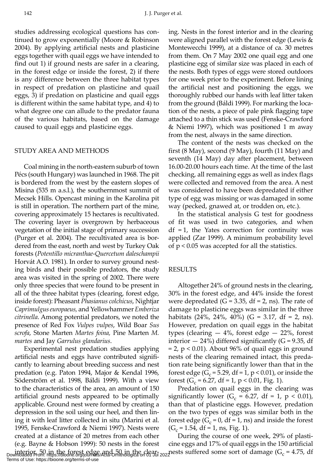studies addressing ecological questions has continued to grow exponentially (Moore & Robinson 2004). By applying artificial nests and plasticine eggs together with quail eggs we have intended to find out 1) if ground nests are safer in a clearing, in the forest edge or inside the forest, 2) if there is any difference between the three habitat types in respect of predation on plasticine and quail eggs, 3) if predation on plasticine and quail eggs is different within the same habitat type, and 4) to what degree one can allude to the predator fauna of the various habitats, based on the damage caused to quail eggs and plasticine eggs.

#### STUDY AREA AND METHODS

Coal mining in the north-eastern suburb of town Pécs (south Hungary) was launched in 1968. The pit is bordered from the west by the eastern slopes of Misina (535 m a.s.l.), the southernmost summit of Mecsek Hills. Opencast mining in the Karolina pit is still in operation. The northern part of the mine, covering approximately 15 hectares is recultivated. The covering layer is overgrown by herbaceous vegetation of the initial stage of primary succession (Purger et al. 2004). The recultivated area is bordered from the east, north and west by Turkey Oak forests (*Potentillo micranthae*-*Quercetum daleschampii* Horvát A.O. 1981). In order to survey ground nesting birds and their possible predators, the study area was visited in the spring of 2002. There were only three species that were found to be present in all of the three habitat types (clearing, forest edge, inside forest): Pheasant *Phasianus colchicus*, Nightjar *Caprimulgus europaeus,* and Yellowhammer *Emberiza citrinella*. Among potential predators, we noted the presence of Red Fox *Vulpes vulpes*, Wild Boar *Sus scrofa*, Stone Marten *Martes foina,* Pine Marten *M. martes* and Jay *Garrulus glandarius*.

Experimental nest predation studies applying artificial nests and eggs have contributed significantly to learning about breeding success and nest predation (e.g. Paton 1994, Major & Kendal 1996, Söderström et al. 1998, Báldi 1999). With a view to the characteristics of the area, an amount of 150 artificial ground nests appeared to be optimally applicable. Ground nest were formed by creating a depression in the soil using our heel, and then lining it with leaf litter collected in situ (Marini et al. 1995, Fenske-Crawford & Niemi 1997). Nests were created at a distance of 20 metres from each other (e.g. Bayne & Hobson 1999): 50 nests in the forest Terms of Use: https://bioone.org/terms-of-use

ing. Nests in the forest interior and in the clearing were aligned parallel with the forest edge (Lewis & Montewecchi 1999), at a distance of ca. 30 metres from them. On 7 May 2002 one quail egg and one plasticine egg of similar size was placed in each of the nests. Both types of eggs were stored outdoors for one week prior to the experiment. Before lining the artificial nest and positioning the eggs, we thoroughly rubbed our hands with leaf litter taken from the ground (Báldi 1999). For marking the location of the nests, a piece of pale pink flagging tape attached to a thin stick was used (Fenske-Crawford & Niemi 1997), which was positioned 1 m away from the nest, always in the same direction.

The content of the nests was checked on the first (8 May), second (9 May), fourth (11 May) and seventh (14 May) day after placement, between 16.00-20.00 hours each time. At the time of the last checking, all remaining eggs as well as index flags were collected and removed from the area. A nest was considered to have been depredated if either type of egg was missing or was damaged in some way (pecked, gnawed at, or trodden on, etc.).

In the statistical analysis G test for goodness of fit was used in two categories, and when  $df = 1$ , the Yates correction for continuity was applied (Zar 1999). A minimum probability level of  $p < 0.05$  was accepted for all the statistics.

#### RESULTS

Altogether 24% of ground nests in the clearing, 30% in the forest edge, and 44% inside the forest were depredated (G = 3.35, df = 2, ns). The rate of damage to plasticine eggs was similar in the three habitats  $(24\%, 24\%, 40\%)$  (G = 3.17, df = 2, ns). However, predation on quail eggs in the habitat types (clearing  $-4\%$ , forest edge  $-22\%$ , forest interior  $-24\%$ ) differed significantly (G = 9.35, df  $= 2$ ,  $p < 0.01$ ). About 96% of quail eggs in ground nests of the clearing remained intact, this predation rate being significantly lower than that in the forest edge ( $G_c$  = 5.29, df = 1, p < 0.01), or inside the forest ( $G_c$  = 6.27, df = 1, p < 0.01, Fig. 1).

Predation on quail eggs in the clearing was significantly lower ( $G_c = 6.27$ , df = 1, p < 0.01), than that of plasticine eggs. However, predation on the two types of eggs was similar both in the forest edge ( $G_c = 0$ , df = 1, ns) and inside the forest  $(G<sub>c</sub> = 1.54, df = 1, ns, Fig. 1).$ 

interior, 50 in the forest edge and 50 in the clear-<br>Downloaded From: https://bioone.org/journals/Acta-Ornithologica on 01 Jul 2022 During the course of one week, 29% of plasticine eggs and 17% of quail eggs in the 150 artificial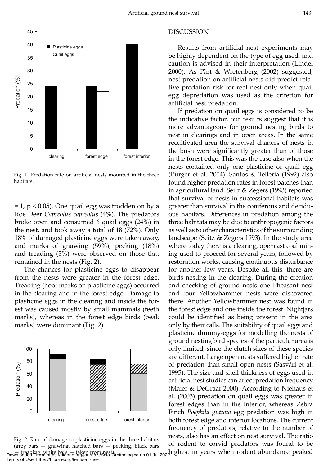

Fig. 1. Predation rate on artificial nests mounted in the three habitats.

 $= 1$ , p < 0.05). One quail egg was trodden on by a Roe Deer *Capreolus capreolus* (4%). The predators broke open and consumed 6 quail eggs (24%) in the nest, and took away a total of 18 (72%). Only 18% of damaged plasticine eggs were taken away, and marks of gnawing (59%), pecking (18%) and treading (5%) were observed on those that remained in the nests (Fig. 2).

The chances for plasticine eggs to disappear from the nests were greater in the forest edge. Treading (hoof marks on plasticine eggs) occurred in the clearing and in the forest edge. Damage to plasticine eggs in the clearing and inside the forest was caused mostly by small mammals (teeth marks), whereas in the forest edge birds (beak marks) were dominant (Fig. 2).



Downloaded From: https://bioone.org/journals/acta-Ornithologica on 01 Jul 2022 lighest in years when rodent abundance peaked Fig. 2. Rate of damage to plasticine eggs in the three habitats (grey bars — gnawing, hatched bars — pecking, black bars Terms of Use: https://bioone.org/terms-of-use

#### DISCUSSION

Results from artificial nest experiments may be highly dependent on the type of egg used, and caution is advised in their interpretation (Lindel 2000). As Pärt & Wretenberg (2002) suggested, nest predation on artificial nests did predict relative predation risk for real nest only when quail egg depredation was used as the criterion for artificial nest predation.

If predation on quail eggs is considered to be the indicative factor, our results suggest that it is more advantageous for ground nesting birds to nest in clearings and in open areas. In the same recultivated area the survival chances of nests in the bush were significantly greater than of those in the forest edge. This was the case also when the nests contained only one plasticine or quail egg (Purger et al. 2004). Santos & Telleria (1992) also found higher predation rates in forest patches than in agricultural land. Seitz & Zegers (1993) reported that survival of nests in successional habitats was greater than survival in the coniferous and deciduous habitats. Differences in predation among the three habitats may be due to anthropogenic factors as well as to other characteristics of the surrounding landscape (Seitz & Zegers 1993). In the study area where today there is a clearing, opencast coal mining used to proceed for several years, followed by restoration works, causing continuous disturbance for another few years. Despite all this, there are birds nesting in the clearing. During the creation and checking of ground nests one Pheasant nest and four Yellowhammer nests were discovered there. Another Yellowhammer nest was found in the forest edge and one inside the forest. Nightjars could be identified as being present in the area only by their calls. The suitability of quail eggs and plasticine dummy-eggs for modelling the nests of ground nesting bird species of the particular area is only limited, since the clutch sizes of these species are different. Large open nests suffered higher rate of predation than small open nests (Sasvári et al. 1995). The size and shell-thickness of eggs used in artificial nest studies can affect predation frequency (Maier & DeGraaf 2000). According to Niehaus et al. (2003) predation on quail eggs was greater in forest edges than in the interior, whereas Zebra Finch *Poephila guttata* egg predation was high in both forest edge and interior locations. The current frequency of predators, relative to the number of nests, also has an effect on nest survival. The ratio of rodent to corvid predators was found to be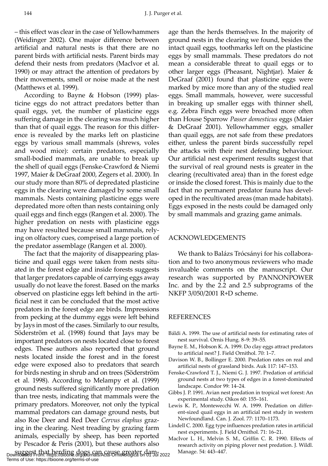– this effect was clear in the case of Yellowhammers (Weidinger 2002). One major difference between artificial and natural nests is that there are no parent birds with artificial nests. Parent birds may defend their nests from predators (MacIvor et al. 1990) or may attract the attention of predators by their movements, smell or noise made at the nest (Matthews et al. 1999).

According to Bayne & Hobson (1999) plasticine eggs do not attract predators better than quail eggs, yet, the number of plasticine eggs suffering damage in the clearing was much higher than that of quail eggs. The reason for this difference is revealed by the marks left on plasticine eggs by various small mammals (shrews, voles and wood mice): certain predators, especially small-bodied mammals, are unable to break up the shell of quail eggs (Fenske-Crawford & Niemi 1997, Maier & DeGraaf 2000, Zegers et al. 2000). In our study more than 80% of depredated plasticine eggs in the clearing were damaged by some small mammals. Nests containing plasticine eggs were depredated more often than nests containing only quail eggs and finch eggs (Rangen et al. 2000). The higher predation on nests with plasticine eggs may have resulted because small mammals, relying on olfactory cues, comprised a large portion of the predator assemblage (Rangen et al. 2000).

The fact that the majority of disappearing plasticine and quail eggs were taken from nests situated in the forest edge and inside forests suggests that larger predators capable of carrying eggs away usually do not leave the forest. Based on the marks observed on plasticine eggs left behind in the artificial nest it can be concluded that the most active predators in the forest edge are birds. Impressions from pecking at the dummy eggs were left behind by Jays in most of the cases. Similarly to our results, Söderström et al. (1998) found that Jays may be important predators on nests located close to forest edges. These authors also reported that ground nests located inside the forest and in the forest edge were exposed also to predators that search for birds nesting in shrub and on trees (Söderström et al. 1998). According to Melampy et al. (1999) ground nests suffered significantly more predation than tree nests, indicating that mammals were the primary predators. Moreover, not only the typical mammal predators can damage ground nests, but also Roe Deer and Red Deer *Cervus elaphus* grazing in the clearing. Nest treading by grazing farm animals, especially by sheep, has been reported by Pescador & Peris (2001), but these authors also

suggest that herding dogs can cause greater dam-Manage. 54: 443–447. Downloaded From: https://bioone.org/journals/Acta-Ornithologica on 01 Jul 2022 Terms of Use: https://bioone.org/terms-of-use

age than the herds themselves. In the majority of ground nests in the clearing we found, besides the intact quail eggs, toothmarks left on the plasticine eggs by small mammals. These predators do not mean a considerable threat to quail eggs or to other larger eggs (Pheasant, Nightjar). Maier & DeGraaf (2001) found that plasticine eggs were marked by mice more than any of the studied real eggs. Small mammals, however, were successful in breaking up smaller eggs with thinner shell, e.g. Zebra Finch eggs were breached more often than House Sparrow *Passer domesticus* eggs (Maier & DeGraaf 2001). Yellowhammer eggs, smaller than quail eggs, are not safe from these predators either, unless the parent birds successfully repel the attacks with their nest defending behaviour. Our artificial nest experiment results suggest that the survival of real ground nests is greater in the clearing (recultivated area) than in the forest edge or inside the closed forest. This is mainly due to the fact that no permanent predator fauna has developed in the recultivated areas (man made habitats). Eggs exposed in the nests could be damaged only by small mammals and grazing game animals.

#### ACKNOWLEDGEMENTS

We thank to Balázs Trócsányi for his collaboration and to two anonymous reviewers who made invaluable comments on the manuscript. Our research was supported by PANNONPOWER Inc. and by the 2.2 and 2.5 subprograms of the NKFP 3/050/2001 R+D scheme.

#### REFERENCES

- Báldi A. 1999. The use of artificial nests for estimating rates of nest survival. Ornis Hung. 8–9: 39–55*.*
- Bayne E. M., Hobson K. A. 1999. Do clay eggs attract predators to artificial nest? J. Field Ornithol. 70: 1–7.
- Davison W. B., Bollinger E. 2000. Predation rates on real and artificial nests of grassland birds. Auk 117: 147–153.
- Fenske-Crawford T. J., Niemi G. J. 1997. Predation of artificial ground nests at two types of edges in a forest-dominated landscape. Condor 99: 14–24.
- Gibbs J. P. 1991. Avian nest predation in tropical wet forest: An experimental study. Oikos 60: 155–161.
- Lewis K. P., Montewecchi W. A. 1999. Predation on different-sized quail eggs in an artificial nest study in western Newfoundland. Can. J. Zool. 77: 1170–1173.
- Lindell C. 2000. Egg type influences predation rates in artificial nest experiments. J. Field Ornithol. 71: 16–21.
- MacIvor L. H., Melvin S. M., Griffin C. R. 1990. Effects of research activity on piping plover nest predation. J. Wildl.